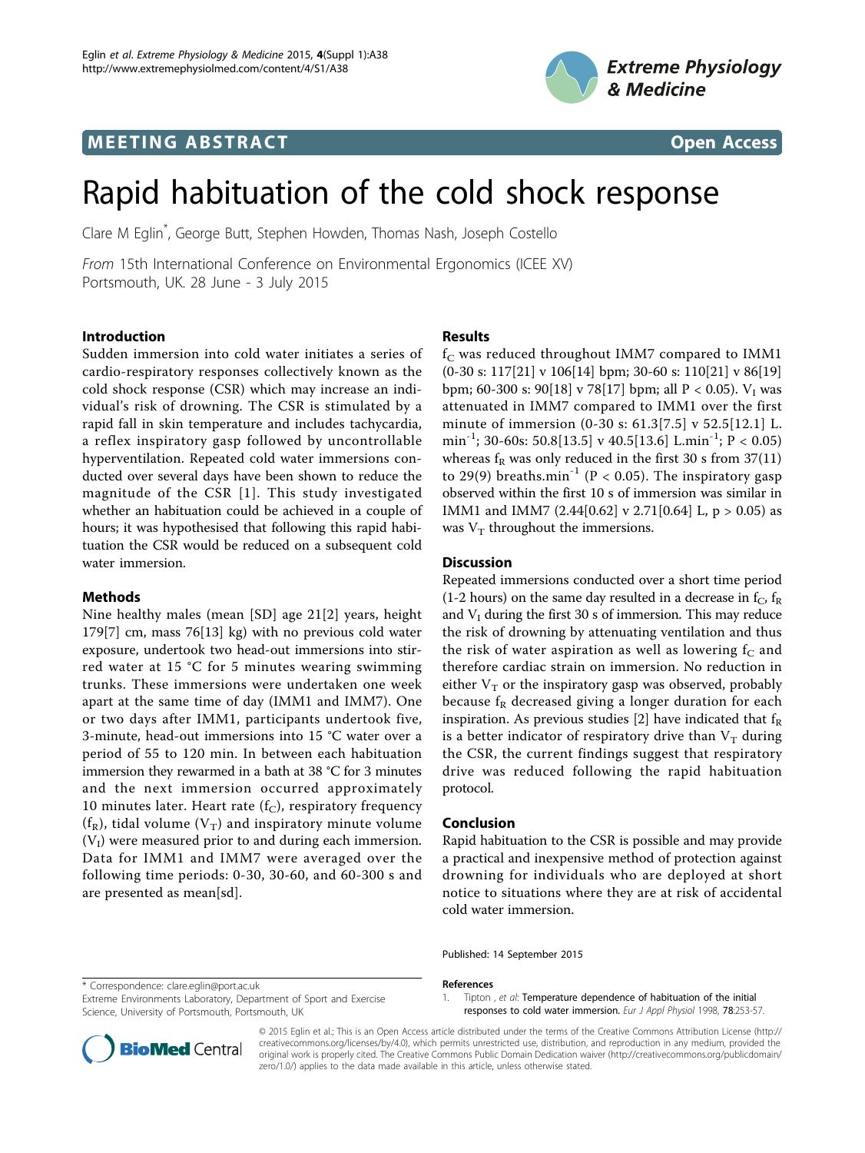# **MEETING ABSTRACT CONSUMING ABSTRACT**





# Rapid habituation of the cold shock response

Clare M Eglin\* , George Butt, Stephen Howden, Thomas Nash, Joseph Costello

From 15th International Conference on Environmental Ergonomics (ICEE XV) Portsmouth, UK. 28 June - 3 July 2015

#### Introduction

Sudden immersion into cold water initiates a series of cardio-respiratory responses collectively known as the cold shock response (CSR) which may increase an individual's risk of drowning. The CSR is stimulated by a rapid fall in skin temperature and includes tachycardia, a reflex inspiratory gasp followed by uncontrollable hyperventilation. Repeated cold water immersions conducted over several days have been shown to reduce the magnitude of the CSR [1]. This study investigated whether an habituation could be achieved in a couple of hours; it was hypothesised that following this rapid habituation the CSR would be reduced on a subsequent cold water immersion.

### Methods

Nine healthy males (mean [SD] age 21[\[2](#page-1-0)] years, height 179[7] cm, mass 76[13] kg) with no previous cold water exposure, undertook two head-out immersions into stirred water at 15 °C for 5 minutes wearing swimming trunks. These immersions were undertaken one week apart at the same time of day (IMM1 and IMM7). One or two days after IMM1, participants undertook five, 3-minute, head-out immersions into 15 °C water over a period of 55 to 120 min. In between each habituation immersion they rewarmed in a bath at 38 °C for 3 minutes and the next immersion occurred approximately 10 minutes later. Heart rate  $(f_C)$ , respiratory frequency ( $f_R$ ), tidal volume ( $V_T$ ) and inspiratory minute volume  $(V<sub>I</sub>)$  were measured prior to and during each immersion. Data for IMM1 and IMM7 were averaged over the following time periods: 0-30, 30-60, and 60-300 s and are presented as mean[sd].

## Results

 $f_C$  was reduced throughout IMM7 compared to IMM1  $(0-30 \text{ s}: 117[21] \text{ v } 106[14] \text{ bpm}; 30-60 \text{ s}: 110[21] \text{ v } 86[19]$ bpm; 60-300 s: 90[18] v 78[17] bpm; all P < 0.05).  $V_I$  was attenuated in IMM7 compared to IMM1 over the first minute of immersion (0-30 s: 61.3[7.5] v 52.5[12.1] L. min<sup>-1</sup>; 30-60s: 50.8[13.5] v 40.5[13.6] L.min<sup>-1</sup>; P < 0.05) whereas  $f_R$  was only reduced in the first 30 s from 37(11) to 29(9) breaths.min<sup>-1</sup> (P < 0.05). The inspiratory gasp observed within the first 10 s of immersion was similar in IMM1 and IMM7 (2.44[0.62] v 2.71[0.64] L,  $p > 0.05$ ) as was  $V_T$  throughout the immersions.

## Discussion

Repeated immersions conducted over a short time period (1-2 hours) on the same day resulted in a decrease in  $f_C$ ,  $f_R$ and  $V_I$  during the first 30 s of immersion. This may reduce the risk of drowning by attenuating ventilation and thus the risk of water aspiration as well as lowering  $f_C$  and therefore cardiac strain on immersion. No reduction in either  $V_T$  or the inspiratory gasp was observed, probably because  $f_R$  decreased giving a longer duration for each inspiration. As previous studies [\[2](#page-1-0)] have indicated that  $f_R$ is a better indicator of respiratory drive than  $V_T$  during the CSR, the current findings suggest that respiratory drive was reduced following the rapid habituation protocol.

#### Conclusion

Rapid habituation to the CSR is possible and may provide a practical and inexpensive method of protection against drowning for individuals who are deployed at short notice to situations where they are at risk of accidental cold water immersion.

\* Correspondence: [clare.eglin@port.ac.uk](mailto:clare.eglin@port.ac.uk)

Extreme Environments Laboratory, Department of Sport and Exercise Science, University of Portsmouth, Portsmouth, UK

Published: 14 September 2015

References

1. Tipton , et al: Temperature dependence of habituation of the initial



responses to cold water immersion. Eur J Appl Physiol 1998, 78:253-57.

© 2015 Eglin et al.; This is an Open Access article distributed under the terms of the Creative Commons Attribution License [\(http://](http://creativecommons.org/licenses/by/4.0) [creativecommons.org/licenses/by/4.0](http://creativecommons.org/licenses/by/4.0)), which permits unrestricted use, distribution, and reproduction in any medium, provided the original work is properly cited. The Creative Commons Public Domain Dedication waiver ([http://creativecommons.org/publicdomain/](http://creativecommons.org/publicdomain/zero/1.0/) [zero/1.0/](http://creativecommons.org/publicdomain/zero/1.0/)) applies to the data made available in this article, unless otherwise stated.